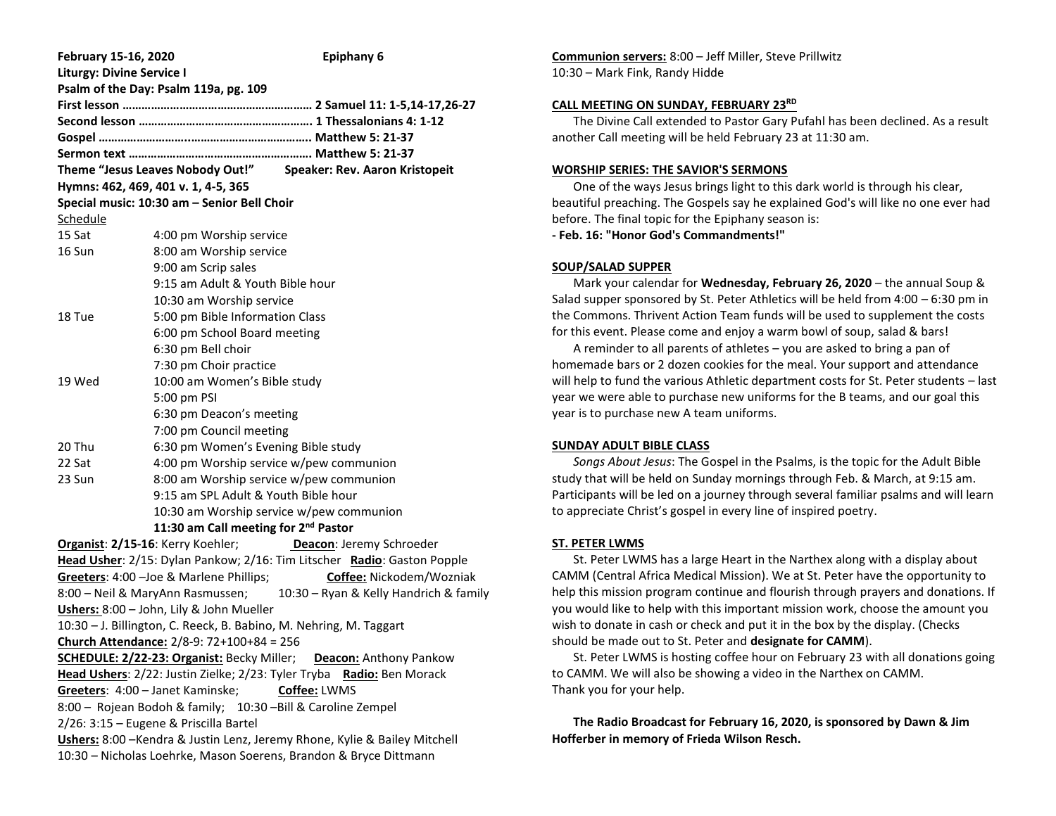| February 15-16, 2020                                                                                                                            | Epiphany 6                                                      |
|-------------------------------------------------------------------------------------------------------------------------------------------------|-----------------------------------------------------------------|
| <b>Liturgy: Divine Service I</b><br>Psalm of the Day: Psalm 119a, pg. 109                                                                       |                                                                 |
|                                                                                                                                                 |                                                                 |
|                                                                                                                                                 |                                                                 |
|                                                                                                                                                 |                                                                 |
|                                                                                                                                                 |                                                                 |
|                                                                                                                                                 | Theme "Jesus Leaves Nobody Out!" Speaker: Rev. Aaron Kristopeit |
|                                                                                                                                                 |                                                                 |
| Hymns: 462, 469, 401 v. 1, 4-5, 365<br>Special music: 10:30 am - Senior Bell Choir                                                              |                                                                 |
| Schedule                                                                                                                                        |                                                                 |
| 15 Sat                                                                                                                                          | 4:00 pm Worship service                                         |
| 16 Sun                                                                                                                                          | 8:00 am Worship service                                         |
|                                                                                                                                                 |                                                                 |
|                                                                                                                                                 | 9:00 am Scrip sales                                             |
|                                                                                                                                                 | 9:15 am Adult & Youth Bible hour                                |
|                                                                                                                                                 | 10:30 am Worship service                                        |
| 18 Tue                                                                                                                                          | 5:00 pm Bible Information Class                                 |
|                                                                                                                                                 | 6:00 pm School Board meeting                                    |
|                                                                                                                                                 | 6:30 pm Bell choir                                              |
|                                                                                                                                                 | 7:30 pm Choir practice                                          |
| 19 Wed                                                                                                                                          | 10:00 am Women's Bible study                                    |
|                                                                                                                                                 | 5:00 pm PSI                                                     |
|                                                                                                                                                 | 6:30 pm Deacon's meeting                                        |
|                                                                                                                                                 | 7:00 pm Council meeting                                         |
| 20 Thu                                                                                                                                          | 6:30 pm Women's Evening Bible study                             |
| 22 Sat                                                                                                                                          | 4:00 pm Worship service w/pew communion                         |
| 23 Sun                                                                                                                                          | 8:00 am Worship service w/pew communion                         |
|                                                                                                                                                 | 9:15 am SPL Adult & Youth Bible hour                            |
|                                                                                                                                                 | 10:30 am Worship service w/pew communion                        |
| 11:30 am Call meeting for 2 <sup>nd</sup> Pastor                                                                                                |                                                                 |
| Organist: 2/15-16: Kerry Koehler;                                                                                                               | Deacon: Jeremy Schroeder                                        |
| Head Usher: 2/15: Dylan Pankow; 2/16: Tim Litscher Radio: Gaston Popple                                                                         |                                                                 |
| Greeters: 4:00 - Joe & Marlene Phillips;<br>Coffee: Nickodem/Wozniak                                                                            |                                                                 |
| 8:00 - Neil & MaryAnn Rasmussen; 10:30 - Ryan & Kelly Handrich & family                                                                         |                                                                 |
| Ushers: 8:00 - John, Lily & John Mueller                                                                                                        |                                                                 |
| 10:30 - J. Billington, C. Reeck, B. Babino, M. Nehring, M. Taggart                                                                              |                                                                 |
| Church Attendance: 2/8-9: 72+100+84 = 256                                                                                                       |                                                                 |
| <b>SCHEDULE: 2/22-23: Organist: Becky Miller; Deacon: Anthony Pankow</b>                                                                        |                                                                 |
| Head Ushers: 2/22: Justin Zielke; 2/23: Tyler Tryba Radio: Ben Morack                                                                           |                                                                 |
| Greeters: 4:00 - Janet Kaminske;<br>Coffee: LWMS                                                                                                |                                                                 |
| 8:00 - Rojean Bodoh & family; 10:30 - Bill & Caroline Zempel                                                                                    |                                                                 |
| 2/26: 3:15 - Eugene & Priscilla Bartel                                                                                                          |                                                                 |
| Ushers: 8:00 - Kendra & Justin Lenz, Jeremy Rhone, Kylie & Bailey Mitchell<br>10:30 - Nicholas Loehrke, Mason Soerens, Brandon & Bryce Dittmann |                                                                 |

**Communion servers:** 8:00 – Jeff Miller, Steve Prillwitz 10:30 – Mark Fink, Randy Hidde

### **CALL MEETING ON SUNDAY, FEBRUARY 23RD**

 The Divine Call extended to Pastor Gary Pufahl has been declined. As a result another Call meeting will be held February 23 at 11:30 am.

### **WORSHIP SERIES: THE SAVIOR'S SERMONS**

 One of the ways Jesus brings light to this dark world is through his clear, beautiful preaching. The Gospels say he explained God's will like no one ever had before. The final topic for the Epiphany season is:

**- Feb. 16: "Honor God's Commandments!"**

### **SOUP/SALAD SUPPER**

 Mark your calendar for **Wednesday, February 26, 2020** – the annual Soup & Salad supper sponsored by St. Peter Athletics will be held from 4:00 – 6:30 pm in the Commons. Thrivent Action Team funds will be used to supplement the costs for this event. Please come and enjoy a warm bowl of soup, salad & bars!

 A reminder to all parents of athletes – you are asked to bring a pan of homemade bars or 2 dozen cookies for the meal. Your support and attendance will help to fund the various Athletic department costs for St. Peter students – last year we were able to purchase new uniforms for the B teams, and our goal this year is to purchase new A team uniforms.

## **SUNDAY ADULT BIBLE CLASS**

 *Songs About Jesus*: The Gospel in the Psalms, is the topic for the Adult Bible study that will be held on Sunday mornings through Feb. & March, at 9:15 am. Participants will be led on a journey through several familiar psalms and will learn to appreciate Christ's gospel in every line of inspired poetry.

## **ST. PETER LWMS**

 St. Peter LWMS has a large Heart in the Narthex along with a display about CAMM (Central Africa Medical Mission). We at St. Peter have the opportunity to help this mission program continue and flourish through prayers and donations. If you would like to help with this important mission work, choose the amount you wish to donate in cash or check and put it in the box by the display. (Checks should be made out to St. Peter and **designate for CAMM**).

 St. Peter LWMS is hosting coffee hour on February 23 with all donations going to CAMM. We will also be showing a video in the Narthex on CAMM. Thank you for your help.

 **The Radio Broadcast for February 16, 2020, is sponsored by Dawn & Jim Hofferber in memory of Frieda Wilson Resch.**